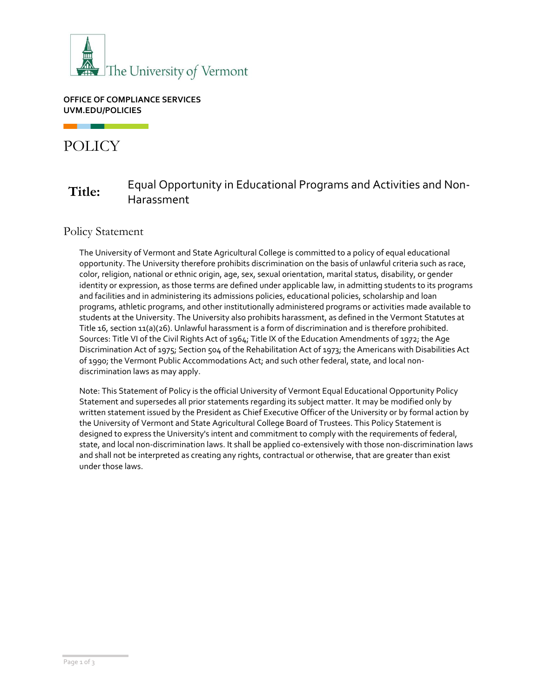

#### **OFFICE OF COMPLIANCE SERVICES UVM.EDU/POLICIES**

# POLICY

## **Title:** Equal Opportunity in Educational Programs and Activities and Non-Harassment

#### Policy Statement

The University of Vermont and State Agricultural College is committed to a policy of equal educational opportunity. The University therefore prohibits discrimination on the basis of unlawful criteria such as race, color, religion, national or ethnic origin, age, sex, sexual orientation, marital status, disability, or gender identity or expression, as those terms are defined under applicable law, in admitting students to its programs and facilities and in administering its admissions policies, educational policies, scholarship and loan programs, athletic programs, and other institutionally administered programs or activities made available to students at the University. The University also prohibits harassment, as defined in the Vermont Statutes at Title 16, section 11(a)(26). Unlawful harassment is a form of discrimination and is therefore prohibited. Sources: Title VI of the Civil Rights Act of 1964; Title IX of the Education Amendments of 1972; the Age Discrimination Act of 1975; Section 504 of the Rehabilitation Act of 1973; the Americans with Disabilities Act of 1990; the Vermont Public Accommodations Act; and such other federal, state, and local nondiscrimination laws as may apply.

Note: This Statement of Policy is the official University of Vermont Equal Educational Opportunity Policy Statement and supersedes all prior statements regarding its subject matter. It may be modified only by written statement issued by the President as Chief Executive Officer of the University or by formal action by the University of Vermont and State Agricultural College Board of Trustees. This Policy Statement is designed to express the University's intent and commitment to comply with the requirements of federal, state, and local non-discrimination laws. It shall be applied co-extensively with those non-discrimination laws and shall not be interpreted as creating any rights, contractual or otherwise, that are greater than exist under those laws.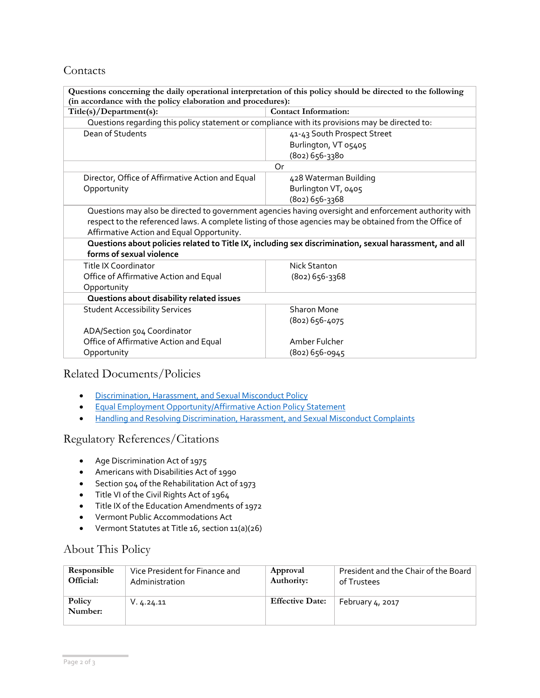#### Contacts

| Questions concerning the daily operational interpretation of this policy should be directed to the following                                                                                                                                                                                                                                                                                        |                             |  |  |
|-----------------------------------------------------------------------------------------------------------------------------------------------------------------------------------------------------------------------------------------------------------------------------------------------------------------------------------------------------------------------------------------------------|-----------------------------|--|--|
| (in accordance with the policy elaboration and procedures):                                                                                                                                                                                                                                                                                                                                         |                             |  |  |
| Title(s)/Department(s):                                                                                                                                                                                                                                                                                                                                                                             | <b>Contact Information:</b> |  |  |
| Questions regarding this policy statement or compliance with its provisions may be directed to:                                                                                                                                                                                                                                                                                                     |                             |  |  |
| Dean of Students                                                                                                                                                                                                                                                                                                                                                                                    | 41-43 South Prospect Street |  |  |
|                                                                                                                                                                                                                                                                                                                                                                                                     | Burlington, VT 05405        |  |  |
|                                                                                                                                                                                                                                                                                                                                                                                                     | (802) 656-3380              |  |  |
| Or                                                                                                                                                                                                                                                                                                                                                                                                  |                             |  |  |
| Director, Office of Affirmative Action and Equal                                                                                                                                                                                                                                                                                                                                                    | 428 Waterman Building       |  |  |
| Opportunity                                                                                                                                                                                                                                                                                                                                                                                         | Burlington VT, 0405         |  |  |
|                                                                                                                                                                                                                                                                                                                                                                                                     | (802) 656-3368              |  |  |
| Questions may also be directed to government agencies having oversight and enforcement authority with<br>respect to the referenced laws. A complete listing of those agencies may be obtained from the Office of<br>Affirmative Action and Equal Opportunity.<br>Questions about policies related to Title IX, including sex discrimination, sexual harassment, and all<br>forms of sexual violence |                             |  |  |
| Title IX Coordinator                                                                                                                                                                                                                                                                                                                                                                                | Nick Stanton                |  |  |
| Office of Affirmative Action and Equal                                                                                                                                                                                                                                                                                                                                                              | (802) 656-3368              |  |  |
| Opportunity                                                                                                                                                                                                                                                                                                                                                                                         |                             |  |  |
| Questions about disability related issues                                                                                                                                                                                                                                                                                                                                                           |                             |  |  |
| <b>Student Accessibility Services</b>                                                                                                                                                                                                                                                                                                                                                               | Sharon Mone                 |  |  |
|                                                                                                                                                                                                                                                                                                                                                                                                     | (802) 656-4075              |  |  |
| ADA/Section 504 Coordinator                                                                                                                                                                                                                                                                                                                                                                         |                             |  |  |
| Office of Affirmative Action and Equal                                                                                                                                                                                                                                                                                                                                                              | Amber Fulcher               |  |  |
| Opportunity                                                                                                                                                                                                                                                                                                                                                                                         | (802) 656-0945              |  |  |

#### Related Documents/Policies

- [Discrimination, Harassment, and Sexual Misconduct Policy](https://www.uvm.edu/sites/default/files/UVM-Policies/policies/sexharass.pdf)
- [Equal Employment Opportunity/Affirmative Action Policy Statement](https://www.uvm.edu/sites/default/files/UVM-Policies/policies/affirm.pdf)
- [Handling and Resolving Discrimination, Harassment, and Sexual Misconduct Complaints](https://www.uvm.edu/sites/default/files/UVM-Policies/policies/discrimcomplaints.pdf)

#### Regulatory References/Citations

- Age Discrimination Act of 1975
- Americans with Disabilities Act of 1990
- Section 504 of the Rehabilitation Act of 1973
- Title VI of the Civil Rights Act of 1964
- Title IX of the Education Amendments of 1972
- Vermont Public Accommodations Act
- Vermont Statutes at Title 16, section 11(a)(26)

### About This Policy

| Responsible       | Vice President for Finance and | Approval               | President and the Chair of the Board |
|-------------------|--------------------------------|------------------------|--------------------------------------|
| Official:         | Administration                 | Authority:             | of Trustees                          |
| Policy<br>Number: | V. 4.24.11                     | <b>Effective Date:</b> | February 4, 2017                     |